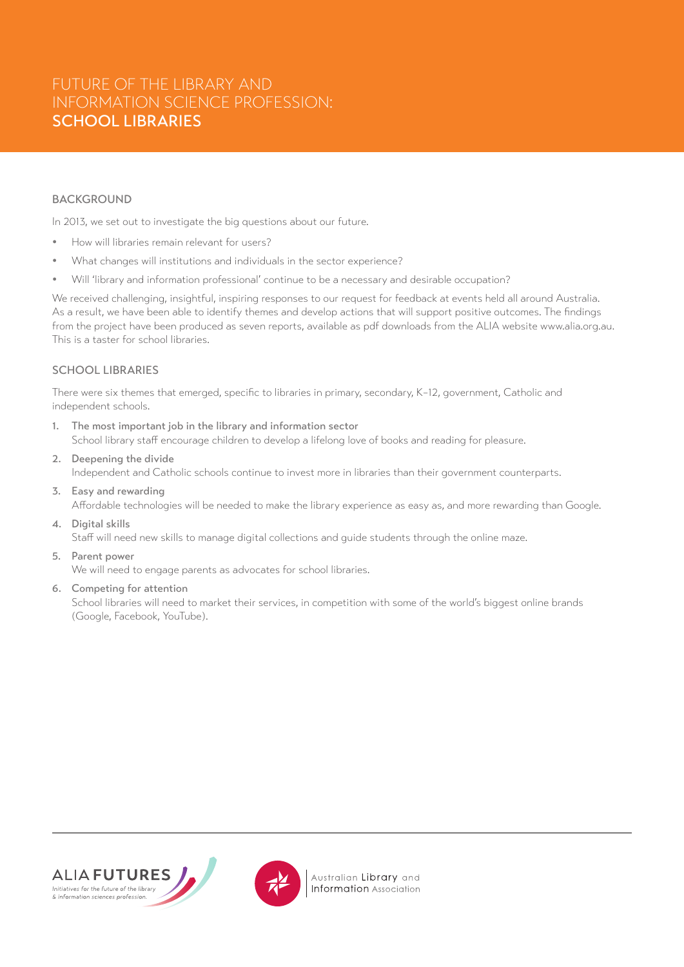# FUTURE OF THE LIBRARY AND INFORMATION SCIENCE PROFESSION: SCHOOL LIBRARIES

## BACKGROUND

In 2013, we set out to investigate the big questions about our future.

- How will libraries remain relevant for users?
- What changes will institutions and individuals in the sector experience?
- Will 'library and information professional' continue to be a necessary and desirable occupation?

We received challenging, insightful, inspiring responses to our request for feedback at events held all around Australia. As a result, we have been able to identify themes and develop actions that will support positive outcomes. The findings from the project have been produced as seven reports, available as pdf downloads from the ALIA website www.alia.org.au. This is a taster for school libraries.

## SCHOOL LIBRARIES

There were six themes that emerged, specific to libraries in primary, secondary, K–12, government, Catholic and independent schools.

- 1. The most important job in the library and information sector School library staff encourage children to develop a lifelong love of books and reading for pleasure.
- 2. Deepening the divide Independent and Catholic schools continue to invest more in libraries than their government counterparts.
- 3. Easy and rewarding Affordable technologies will be needed to make the library experience as easy as, and more rewarding than Google.
- 4. Digital skills

Staff will need new skills to manage digital collections and guide students through the online maze.

5. Parent power

We will need to engage parents as advocates for school libraries.

6. Competing for attention

School libraries will need to market their services, in competition with some of the world's biggest online brands (Google, Facebook, YouTube).